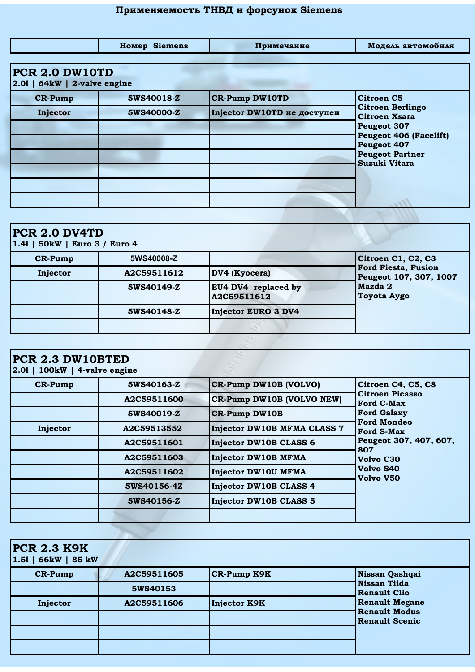## **Применяемость ТНВД и форсунок Siemens**

|                                                         | <b>Homep Siemens</b> | Примечание                  | Модель автомобиля                                                                                                                                         |  |
|---------------------------------------------------------|----------------------|-----------------------------|-----------------------------------------------------------------------------------------------------------------------------------------------------------|--|
| <b>PCR 2.0 DW10TD</b><br>$ 2.01 $ 64kW   2-valve engine |                      |                             |                                                                                                                                                           |  |
| <b>CR-Pump</b>                                          | 5WS40018-Z           | <b>CR-Pump DW10TD</b>       | <b>Citroen C5</b>                                                                                                                                         |  |
| Injector                                                | 5WS40000-Z           | Injector DW10TD не доступен | <b>Citroen Berlingo</b><br><b>Citroen Xsara</b><br>Peugeot 307<br><b>Peugeot 406 (Facelift)</b><br>Peugeot 407<br><b>Peugeot Partner</b><br>Suzuki Vitara |  |

| PCR 2.0 DV4TD<br>1.41   50kW   Euro 3 / Euro 4 |             |                                    |                                               |
|------------------------------------------------|-------------|------------------------------------|-----------------------------------------------|
| $CR-Pump$                                      | 5WS40008-Z  |                                    | Citroen C1, C2, C3                            |
| Injector                                       | A2C59511612 | DV4 (Kyocera)                      | Ford Fiesta, Fusion<br>Peugeot 107, 307, 1007 |
|                                                | 5WS40149-Z  | EU4 DV4 replaced by<br>A2C59511612 | Mazda 2<br><b>Toyota Aygo</b>                 |
|                                                | 5WS40148-Z  | Injector EURO 3 DV4                |                                               |
|                                                |             |                                    |                                               |

| PCR 2.3 DW10BTED<br>$2.01$   100kW   4-valve engine |             |                                    |                                                                   |
|-----------------------------------------------------|-------------|------------------------------------|-------------------------------------------------------------------|
| <b>CR-Pump</b>                                      | 5WS40163-Z  | CR-Pump DW10B (VOLVO)              | Citroen C4, C5, C8                                                |
|                                                     | A2C59511600 | CR-Pump DW10B (VOLVO NEW)          | <b>Citroen Picasso</b><br><b>Ford C-Max</b>                       |
|                                                     | 5WS40019-Z  | <b>CR-Pump DW10B</b>               | <b>Ford Galaxy</b>                                                |
| Injector                                            | A2C59513552 | <b>Injector DW10B MFMA CLASS 7</b> | <b>Ford Mondeo</b><br><b>Ford S-Max</b><br>Peugeot 307, 407, 607, |
|                                                     | A2C59511601 | Injector DW10B CLASS 6             |                                                                   |
|                                                     | A2C59511603 | Injector DW10B MFMA                | 807<br>Volvo C30                                                  |
|                                                     | A2C59511602 | <b>Injector DW10U MFMA</b>         | Volvo S40<br>Volvo V50                                            |
|                                                     | 5WS40156-4Z | Injector DW10B CLASS 4             |                                                                   |
|                                                     | 5WS40156-Z  | <b>Injector DW10B CLASS 5</b>      |                                                                   |
|                                                     |             |                                    |                                                                   |

| <b>PCR 2.3 K9K</b><br>$1.51$   66kW   85 kW |             |                    |                                               |
|---------------------------------------------|-------------|--------------------|-----------------------------------------------|
| <b>CR-Pump</b>                              | A2C59511605 | <b>CR-Pump K9K</b> | Nissan Qashqai                                |
|                                             | 5WS40153    |                    | Nissan Tiida<br>Renault Clio                  |
| Injector                                    | A2C59511606 | Injector K9K       | <b>Renault Megane</b>                         |
|                                             |             |                    | <b>Renault Modus</b><br><b>Renault Scenic</b> |
|                                             |             |                    |                                               |
|                                             |             |                    |                                               |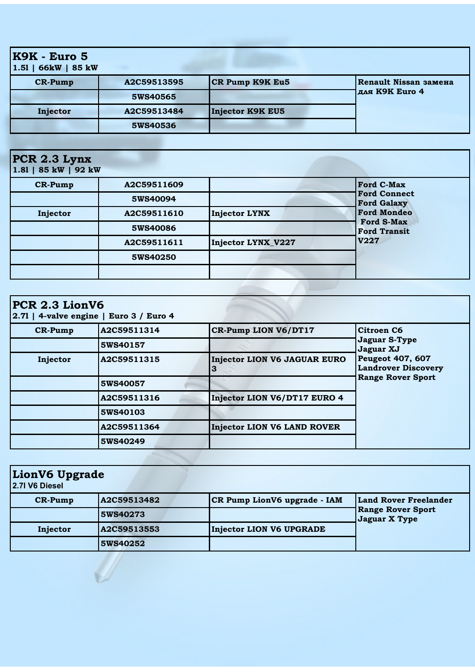| <b>K9K - Euro 5</b><br>$1.51$   66 kW   85 kW |             |                        |                       |
|-----------------------------------------------|-------------|------------------------|-----------------------|
| <b>CR-Pump</b>                                | A2C59513595 | <b>CR Pump K9K Eu5</b> | Renault Nissan замена |
|                                               | 5WS40565    |                        | для K9K Euro 4        |
| Injector                                      | A2C59513484 | Injector K9K EU5       |                       |
|                                               | 5WS40536    |                        |                       |

## **PCR 2.3 Lynx**

**1.8l | 85 kW | 92 kW**

Ø.

| <b>CR-Pump</b> | A2C59511609 |                      | <b>Ford C-Max</b>                         |
|----------------|-------------|----------------------|-------------------------------------------|
|                | 5WS40094    |                      | <b>Ford Connect</b><br><b>Ford Galaxy</b> |
| Injector       | A2C59511610 | <b>Injector LYNX</b> | <b>Ford Mondeo</b>                        |
|                | 5WS40086    |                      | <b>Ford S-Max</b><br><b>Ford Transit</b>  |
|                | A2C59511611 | Injector LYNX_V227   | <b>V227</b>                               |
|                | 5WS40250    |                      |                                           |
|                |             |                      |                                           |

| $ PCR\ 2.3\ LionV6 $ | $ 2.71 $ 4-valve engine   Euro 3 / Euro 4 |                                    |                                                       |
|----------------------|-------------------------------------------|------------------------------------|-------------------------------------------------------|
| <b>CR-Pump</b>       | A2C59511314                               | <b>CR-Pump LION V6/DT17</b>        | Citroen C6                                            |
|                      | 5WS40157                                  |                                    | <b>Jaguar S-Type</b><br>Jaguar XJ                     |
| Injector             | A2C59511315                               | Injector LION V6 JAGUAR EURO<br>З  | <b>Peugeot 407, 607</b><br><b>Landrover Discovery</b> |
|                      | 5WS40057                                  |                                    | <b>Range Rover Sport</b>                              |
|                      | A2C59511316                               | Injector LION V6/DT17 EURO 4       |                                                       |
|                      | 5WS40103                                  |                                    |                                                       |
|                      | A2C59511364                               | <b>Injector LION V6 LAND ROVER</b> |                                                       |
|                      | 5WS40249                                  |                                    |                                                       |

| LionV6 Upgrade<br>2.7l V6 Diesel |             |                                 |                                           |
|----------------------------------|-------------|---------------------------------|-------------------------------------------|
| $CR-Pump$                        | A2C59513482 | CR Pump LionV6 upgrade - IAM    | <b>Land Rover Freelander</b>              |
|                                  | 5WS40273    |                                 | <b>Range Rover Sport</b><br>Jaguar X Type |
| Injector                         | A2C59513553 | <b>Injector LION V6 UPGRADE</b> |                                           |
|                                  | 5WS40252    |                                 |                                           |